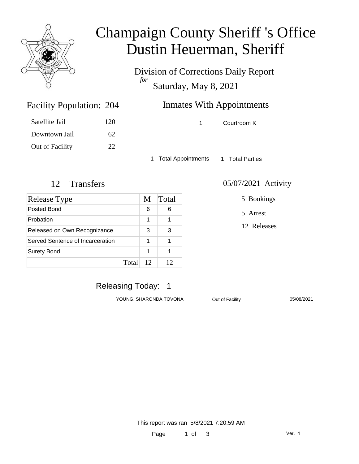

### Champaign County Sheriff 's Office Dustin Heuerman, Sheriff

Division of Corrections Daily Report *for* Saturday, May 8, 2021

### Inmates With Appointments

1 Courtroom K

Satellite Jail 120 Downtown Jail 62 Out of Facility 22

Facility Population: 204

1 Total Appointments 1 Total Parties

| Release Type                     |       | M  | Total |
|----------------------------------|-------|----|-------|
| Posted Bond                      |       | 6  |       |
| Probation                        |       | 1  |       |
| Released on Own Recognizance     |       | 3  |       |
| Served Sentence of Incarceration |       | 1  |       |
| <b>Surety Bond</b>               |       | 1  |       |
|                                  | Total | 12 | 12    |

12 Transfers 05/07/2021 Activity

5 Bookings

5 Arrest

12 Releases

Releasing Today: 1

YOUNG, SHARONDA TOVONA Out of Facility 05/08/2021

This report was ran 5/8/2021 7:20:59 AM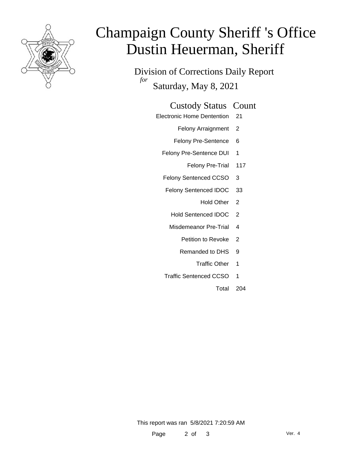

# Champaign County Sheriff 's Office Dustin Heuerman, Sheriff

Division of Corrections Daily Report *for* Saturday, May 8, 2021

#### Custody Status Count

- Electronic Home Dentention 21
	- Felony Arraignment 2
	- Felony Pre-Sentence 6
	- Felony Pre-Sentence DUI 1
		- Felony Pre-Trial 117
	- Felony Sentenced CCSO 3
	- Felony Sentenced IDOC 33
		- Hold Other 2
		- Hold Sentenced IDOC 2
		- Misdemeanor Pre-Trial 4
			- Petition to Revoke 2
			- Remanded to DHS 9
				- Traffic Other 1
	- Traffic Sentenced CCSO 1
		- Total 204

This report was ran 5/8/2021 7:20:59 AM